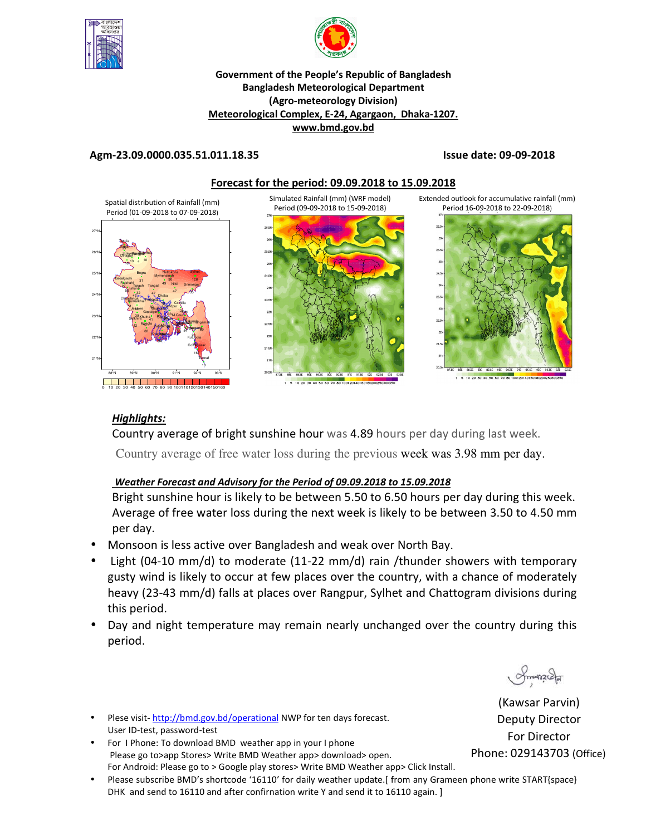



#### **Government of the People's Republic of Bangladesh Bangladesh Meteorological Department (Agro-meteorology Division) Meteorological Complex, E-24, Agargaon, Dhaka-1207. www.bmd.gov.bd**

#### **Agm-23.09.0000.035.51.011.18.35 Issue date: 09-09-2018**



#### *Highlights:*

Country average of bright sunshine hour was 4.89 hours per day during last week.

Country average of free water loss during the previous week was 3.98 mm per day.

#### *Weather Forecast and Advisory for the Period of 09.09.2018 to 15.09.2018*

Bright sunshine hour is likely to be between 5.50 to 6.50 hours per day during this week. Average of free water loss during the next week is likely to be between 3.50 to 4.50 mm per day.

- Monsoon is less active over Bangladesh and weak over North Bay.
- Light (04-10 mm/d) to moderate (11-22 mm/d) rain /thunder showers with temporary gusty wind is likely to occur at few places over the country, with a chance of moderately heavy (23-43 mm/d) falls at places over Rangpur, Sylhet and Chattogram divisions during this period.
- Day and night temperature may remain nearly unchanged over the country during this period.

monach

(Kawsar Parvin) Deputy Director For Director Phone: 029143703 (Office)

• Plese visit- http://bmd.gov.bd/operational NWP for ten days forecast. User ID-test, password-test

- For I Phone: To download BMD weather app in your I phone Please go to>app Stores> Write BMD Weather app> download> open. For Android: Please go to > Google play stores> Write BMD Weather app> Click Install.
- Please subscribe BMD's shortcode '16110' for daily weather update.[ from any Grameen phone write START{space} DHK and send to 16110 and after confirnation write Y and send it to 16110 again. ]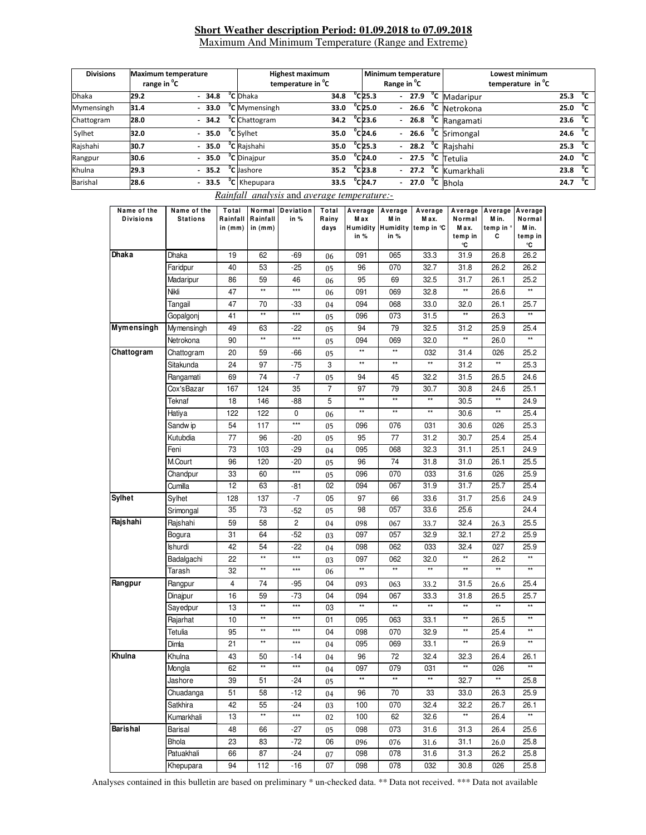#### **Short Weather description Period: 01.09.2018 to 07.09.2018** Maximum And Minimum Temperature (Range and Extreme)

| <b>Divisions</b> | Maximum temperature<br>range in <sup>o</sup> C |  |         | <b>Highest maximum</b><br>temperature in <sup>o</sup> C |                                  |      | Minimum temperature<br>Range in <sup>o</sup> C |                  |  |  |  | <b>Lowest minimum</b><br>temperature in C |  |      |              |
|------------------|------------------------------------------------|--|---------|---------------------------------------------------------|----------------------------------|------|------------------------------------------------|------------------|--|--|--|-------------------------------------------|--|------|--------------|
| <b>Dhaka</b>     | 29.2                                           |  | $-34.8$ |                                                         | <sup>o</sup> C Dhaka             | 34.8 |                                                | $^{\circ}$ C25.3 |  |  |  | - $27.9$ <sup>o</sup> C Madaripur         |  | 25.3 | °c           |
| Mymensingh       | 31.4                                           |  | $-33.0$ |                                                         | <sup>"</sup> C Mymensingh        | 33.0 |                                                | °C 25.0          |  |  |  | $-26.6$ °C Netrokona                      |  | 25.0 | °c           |
| Chattogram       | 28.0                                           |  |         |                                                         | $-$ 34.2 $^{\circ}$ C Chattogram | 34.2 |                                                | $^{\circ}$ C23.6 |  |  |  | $-26.8$ <sup>o</sup> C Rangamati          |  | 23.6 | °c           |
| Sylhet           | 32.0                                           |  | $-35.0$ |                                                         | <sup>o</sup> C Sylhet            | 35.0 |                                                | $^{\circ}$ C24.6 |  |  |  | $-26.6$ C Srimongal                       |  | 24.6 | °c           |
| Rajshahi         | 30.7                                           |  | $-35.0$ |                                                         | <sup>o</sup> C Raishahi          | 35.0 |                                                | $^{\circ}$ C25.3 |  |  |  | $-28.2$ <sup>o</sup> C Rajshahi           |  | 25.3 | °⊂           |
| Rangpur          | 30.6                                           |  | $-35.0$ |                                                         | <sup>o</sup> C Dinajpur          | 35.0 |                                                | $^{\circ}$ C24.0 |  |  |  | $-27.5$ °C Tetulia                        |  | 24.0 | $^{\circ}$ c |
| Khulna           | 29.3                                           |  | $-35.2$ |                                                         | <sup>o</sup> C Jashore           | 35.2 |                                                | $^{\circ}$ C23.8 |  |  |  | - 27.2 °C Kumarkhali                      |  | 23.8 | $^{\circ}$ c |
| Barishal         | 28.6                                           |  | $-33.5$ |                                                         | <sup>o</sup> C Khepupara         | 33.5 |                                                | $^{\circ}$ C24.7 |  |  |  | <b>27.0 °C</b> Bhola                      |  | 24.7 | °c           |

|  |  | <i>Rainfall analysis and average temperature:-</i> |
|--|--|----------------------------------------------------|
|  |  |                                                    |

| Name of the<br><b>Divisions</b> | Name of the<br><b>Stations</b> | Total<br>Rainfall<br>in $(mm)$ | Normal<br>Rainfall<br>in $(mm)$ | Deviation<br>in %                | Total<br>Rainy<br>days | Average<br>Max<br><b>Humidity</b><br>in % | Average<br>M in<br>in % | Average<br>M ax.<br>Humidity temp in ℃ | Average<br>Normal<br>M ax.<br>temp in | Average<br>M in.<br>temp in °<br>C | Average<br>Normal<br>M in.<br>temp in |
|---------------------------------|--------------------------------|--------------------------------|---------------------------------|----------------------------------|------------------------|-------------------------------------------|-------------------------|----------------------------------------|---------------------------------------|------------------------------------|---------------------------------------|
| Dhaka                           | Dhaka                          | 19                             | 62                              | $-69$                            | 06                     | 091                                       | 065                     | 33.3                                   | °C<br>31.9                            | 26.8                               | °C<br>26.2                            |
|                                 | Faridpur                       | 40                             | 53                              | $-25$                            | 05                     | 96                                        | 070                     | 32.7                                   | 31.8                                  | 26.2                               | 26.2                                  |
|                                 | Madaripur                      | 86                             | 59                              | 46                               | 06                     | 95                                        | 69                      | 32.5                                   | 31.7                                  | 26.1                               | 25.2                                  |
|                                 | Nikli                          | 47                             | $\star\star$                    | $***$                            | 06                     | 091                                       | 069                     | 32.8                                   | **                                    | 26.6                               | $**$                                  |
|                                 | Tangail                        | 47                             | 70                              | -33                              |                        | 094                                       | 068                     | 33.0                                   | 32.0                                  | 26.1                               | 25.7                                  |
|                                 | Gopalgonj                      | 41                             | $^{\star\star}$                 | $***$                            | 04                     | 096                                       | 073                     | 31.5                                   | **                                    | 26.3                               | $\star\star$                          |
| Mymensingh                      | Mymensingh                     | 49                             | 63                              | -22                              | 05                     | 94                                        | 79                      | 32.5                                   | 31.2                                  | 25.9                               | 25.4                                  |
|                                 | Netrokona                      | 90                             | $\star\star$                    | $***$                            | 05<br>05               | 094                                       | 069                     | 32.0                                   | $^{\star\star}$                       | 26.0                               | $^{\star\star}$                       |
| Chattogram                      | Chattogram                     | 20                             | 59                              | -66                              |                        | $\star\star$                              | $\star\star$            | 032                                    | 31.4                                  | 026                                | 25.2                                  |
|                                 | Sitakunda                      | 24                             | 97                              | -75                              | 05<br>3                | $\star\star$                              | $\star\star$            | $\star\star$                           | 31.2                                  | $^{\star\star}$                    | 25.3                                  |
|                                 | Rangamati                      | 69                             | 74                              | -7                               |                        | 94                                        | 45                      | 32.2                                   | 31.5                                  | 26.5                               | 24.6                                  |
|                                 | Cox'sBazar                     | 167                            | 124                             | 35                               | 05<br>7                | 97                                        | 79                      | 30.7                                   | 30.8                                  | 24.6                               | 25.1                                  |
|                                 | Teknaf                         |                                |                                 |                                  |                        | $\star\star$                              | $\star\star$            | $^{\star\star}$                        |                                       | $^{\star\star}$                    |                                       |
|                                 |                                | 18<br>122                      | 146<br>122                      | $-88$<br>0                       | 5                      | $\star\star$                              | $**$                    | $**$                                   | 30.5<br>30.6                          | $\star\star$                       | 24.9<br>25.4                          |
|                                 | Hatiya                         |                                |                                 | $***$                            | 06                     |                                           |                         |                                        |                                       |                                    | 25.3                                  |
|                                 | Sandw ip                       | 54                             | 117                             |                                  | 05                     | 096                                       | 076                     | 031                                    | 30.6                                  | 026                                |                                       |
|                                 | Kutubdia                       | 77                             | 96                              | $-20$                            | 05                     | 95                                        | 77                      | 31.2                                   | 30.7                                  | 25.4                               | 25.4                                  |
|                                 | Feni<br>M.Court                | 73                             | 103                             | -29                              | 04                     | 095                                       | 068<br>74               | 32.3                                   | 31.1                                  | 25.1                               | 24.9                                  |
|                                 |                                | 96                             | 120                             | $-20$<br>$***$                   | 05                     | 96                                        |                         | 31.8                                   | 31.0                                  | 26.1                               | 25.5                                  |
|                                 | Chandpur                       | 33<br>12                       | 60<br>63                        |                                  | 05<br>02               | 096<br>094                                | 070<br>067              | 033<br>31.9                            | 31.6<br>31.7                          | 026<br>25.7                        | 25.9<br>25.4                          |
| <b>Sylhet</b>                   | Cumilla                        |                                |                                 | -81                              |                        |                                           |                         |                                        |                                       |                                    |                                       |
|                                 | Sylhet                         | 128<br>35                      | 137<br>73                       | -7                               | 05                     | 97<br>98                                  | 66<br>057               | 33.6<br>33.6                           | 31.7<br>25.6                          | 25.6                               | 24.9<br>24.4                          |
| Rajshahi                        | Srimongal                      |                                |                                 | $-52$<br>$\overline{\mathbf{c}}$ | 05                     |                                           |                         |                                        |                                       |                                    |                                       |
|                                 | Rajshahi                       | 59                             | 58                              |                                  | 04                     | 098                                       | 067                     | 33.7                                   | 32.4                                  | 26.3                               | 25.5                                  |
|                                 | Bogura                         | 31<br>42                       | 64<br>54                        | $-52$<br>$-22$                   | 03                     | 097                                       | 057                     | 32.9                                   | 32.1                                  | 27.2                               | 25.9                                  |
|                                 | <b>Ishurdi</b><br>Badalgachi   | 22                             | $\star\star$                    | $***$                            | 04                     | 098<br>097                                | 062<br>062              | 033<br>32.0                            | 32.4<br>$^{\star\star}$               | 027<br>26.2                        | 25.9<br>$\star\star$                  |
|                                 | Tarash                         | 32                             | $**$                            | $***$                            | 03<br>06               | $\overline{**}$                           | $***$                   | $**$                                   | **                                    | $**$                               | $**$                                  |
| Rangpur                         |                                | 4                              | 74                              | -95                              | 04                     |                                           |                         |                                        |                                       |                                    | 25.4                                  |
|                                 | Rangpur                        |                                |                                 |                                  |                        | 093                                       | 063                     | 33.2                                   | 31.5                                  | 26.6                               |                                       |
|                                 | Dinajpur                       | 16<br>13                       | 59<br>$\star\star$              | -73<br>$***$                     | 04<br>03               | 094<br>$\star\star$                       | 067<br>$\star\star$     | 33.3<br>$\star\star$                   | 31.8<br>$^{\star\star}$               | 26.5<br>$^{\star\star}$            | 25.7<br>$**$                          |
|                                 | Sayedpur<br>Rajarhat           | 10                             | $\star\star$                    | $***$                            | 01                     | 095                                       | 063                     | 33.1                                   | **                                    | 26.5                               | $^{\star\star}$                       |
|                                 | Tetulia                        | 95                             | $\star\star$                    | $***$                            | 04                     | 098                                       | 070                     | 32.9                                   | **                                    | 25.4                               | $\star\star$                          |
|                                 | Dimla                          | 21                             | $\star\star$                    | $***$                            | 04                     | 095                                       | 069                     | 33.1                                   | **                                    | 26.9                               | $**$                                  |
| Khulna                          | Khulna                         | 43                             |                                 | $-14$                            |                        | 96                                        | 72                      | 32.4                                   | 32.3                                  | 26.4                               | 26.1                                  |
|                                 |                                | 62                             | 50<br>$\star\star$              | $***$                            | 04                     | 097                                       | 079                     | 031                                    | **                                    | 026                                | $\star\star$                          |
|                                 | Mongla                         |                                |                                 |                                  | 04                     |                                           |                         |                                        |                                       |                                    |                                       |
|                                 | Jashore                        | 39                             | 51<br>58                        | -24<br>$-12$                     | 05                     | 96                                        | 70                      | 33                                     | 32.7                                  |                                    | 25.8<br>25.9                          |
|                                 | Chuadanga                      | 51<br>42                       | 55                              |                                  | 04                     |                                           |                         |                                        | 33.0                                  | 26.3                               |                                       |
|                                 | Satkhira                       | 13                             | $\star\star$                    | $-24$<br>$\star\star\star$       | 03                     | 100<br>100                                | 070<br>62               | 32.4<br>32.6                           | 32.2<br>$\star\star$                  | 26.7<br>26.4                       | 26.1<br>$\star\star$                  |
| Barishal                        | Kumarkhali                     |                                |                                 |                                  | 02                     |                                           |                         |                                        |                                       |                                    |                                       |
|                                 | Barisal                        | 48                             | 66                              | -27                              | 05                     | 098                                       | 073                     | 31.6                                   | 31.3                                  | 26.4                               | 25.6                                  |
|                                 | Bhola                          | 23                             | 83                              | $-72$                            | 06                     | 096                                       | 076                     | 31.6                                   | 31.1                                  | 26.0                               | 25.8                                  |
|                                 | Patuakhali                     | 66                             | 87                              | -24                              | 07                     | 098                                       | 078                     | 31.6                                   | 31.3                                  | 26.2                               | 25.8                                  |
|                                 | Khepupara                      | 94                             | 112                             | $-16$                            | 07                     | 098                                       | 078                     | 032                                    | 30.8                                  | 026                                | 25.8                                  |

Analyses contained in this bulletin are based on preliminary \* un-checked data. \*\* Data not received. \*\*\* Data not available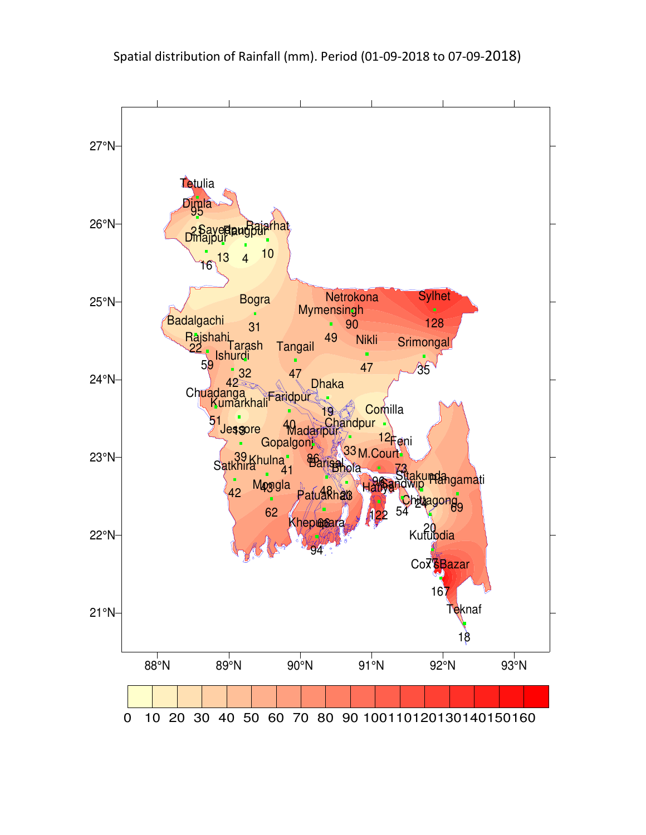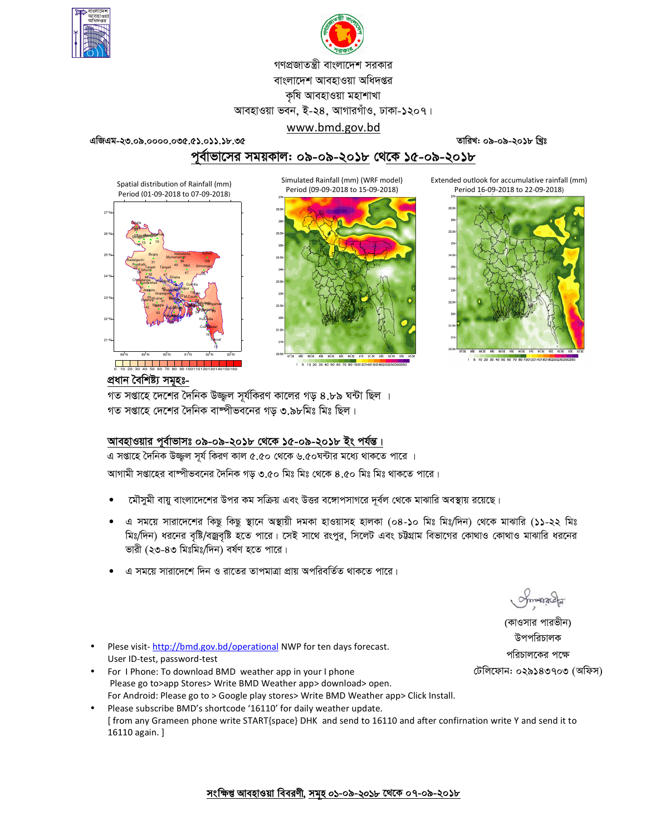



# গণপ্রজাতন্ত্রী বাংলাদেশ সরকার বাংলাদেশ আবহাওয়া অধিদপ্তর কৃষি আবহাওয়া মহাশাখা

আবহাওয়া ভবন, ই-২৪, আগারগাঁও, ঢাকা-১২০৭।

#### www.bmd.gov.bd

**GwRGg-23.09.0000.035.51.011.18.35 ZvwiL: 09-09-2018 wLªt**

পূর্বাভাসের সময়কাল: ০৯-০৯-২০১৮ থেকে ১৫-০৯-২০১৮





1 5 10 20 30 40 50 60 70 80 100120140160180

Extended outlook for accumulative rainfall (mm) Period 16-09-2018 to 22-09-2018)



প্ৰধান বৈশিষ্ট্য সম<del>ু</del>হঃ-0 10 20 30 40 50 60 70 80 90 100110120130140150160

21°N

22°N

23°N

24°N

25°N

88°N 89°N 90°N 91°N 92°N 93°N

Dhaka **Faritour** Madaripur

 $47 \frac{47}{2}$ 

19 40 86

Barisal Bhola Patuakhali Khepupara

48 **336** 94

**Chitagong** Sitaku Pilangamati

20 24 69

Sylhet

128

Hatiya Sandwip Kutubdia

122 54 77

Feni M.Court Chandpur Comilla

73 96 33 12

> Cox<sup>\*</sup>Bazar Teknaf

167 18

Gopalgon<sub>i</sub>

41

Khulna Mongla **Jessore** Chuadanga Satkhira Kumarkhali

43 62

Bogra Ishurdi Badalgachi Tarash

4  $16^{13}$  4  $10$ 

31 42 22 32

> 51 42 13

Tangail <sup>49</sup> Nikli

Rajshahi Tannail 49 Nikli Srimongal

 $\frac{59}{32}$   $\frac{17}{47}$   $\frac{47}{55}$ 

Mymensingh Netrokona

> 49 90

গত সপ্তাহে দেশের দৈনিক উজ্জল সূর্যকিরণ কালের গড় ৪.৮৯ ঘন্টা ছিল । গত সপ্তাহে দেশের দৈনিক বাষ্পীভবনের গড় ৩.৯৮মিঃ মিঃ ছিল।

### আবহাওয়ার পূর্বাভাসঃ ০৯-০৯-২০১৮ থেকে ১৫-০৯-২০১৮ ইং পর্যন্ত।

এ সপ্তাহে দৈনিক উজ্জুল সূর্য কিরণ কাল ৫.৫০ থেকে ৬.৫০ঘন্টার মধ্যে থাকতে পারে ।

আগামী সপ্তাহের বাম্পীভবনের দৈনিক গড় ৩.৫০ মিঃ মিঃ থেকে ৪.৫০ মিঃ মিঃ থাকতে পারে।

- মৌসুমী বায়ু বাংলাদেশের উপর কম সক্রিয় এবং উত্তর বঙ্গোপসাগরে দূর্বল থেকে মাঝারি অবস্থায় রয়েছে।
- এ সময়ে সারাদেশের কিছু কিছু স্থানে অস্থায়ী দমকা হাওয়াসহ হালকা (০৪-১০ মিঃ মিঃ/দিন) থেকে মাঝারি (১১-২২ মিঃ মিঃ/দিন) ধরনের বৃষ্টি/বজ্রবৃষ্টি হতে পারে। সেই সাথে রংপুর, সিলেট এবং চট্টগ্রাম বিভাগের কোথাও কোথাও মাঝারি ধরনের ভারী (২৩-৪৩ মিঃমিঃ/দিন) বর্ষণ হতে পারে।
- এ সময়ে সারাদেশে দিন ও রাতের তাপমাত্রা প্রায় অপরিবর্তিত থাকতে পারে।

(কাওসার পারভীন) উপপরিচালক পরিচালকের পক্ষে টেলিফোন: ০২৯১৪৩৭০৩ (অফিস)

- Plese visit-http://bmd.gov.bd/operational NWP for ten days forecast. User ID-test, password-test
- For I Phone: To download BMD weather app in your I phone Please go to>app Stores> Write BMD Weather app> download> open. For Android: Please go to > Google play stores> Write BMD Weather app> Click Install.
- Please subscribe BMD's shortcode '16110' for daily weather update. [ from any Grameen phone write START{space} DHK and send to 16110 and after confirnation write Y and send it to 16110 again. ]

<u>সংক্ষিপ্ত আবহাওয়া বিবরণী, সমূহ ০১-০৯-২০১৮ থেকে ০৭-০৯-২০১৮</u>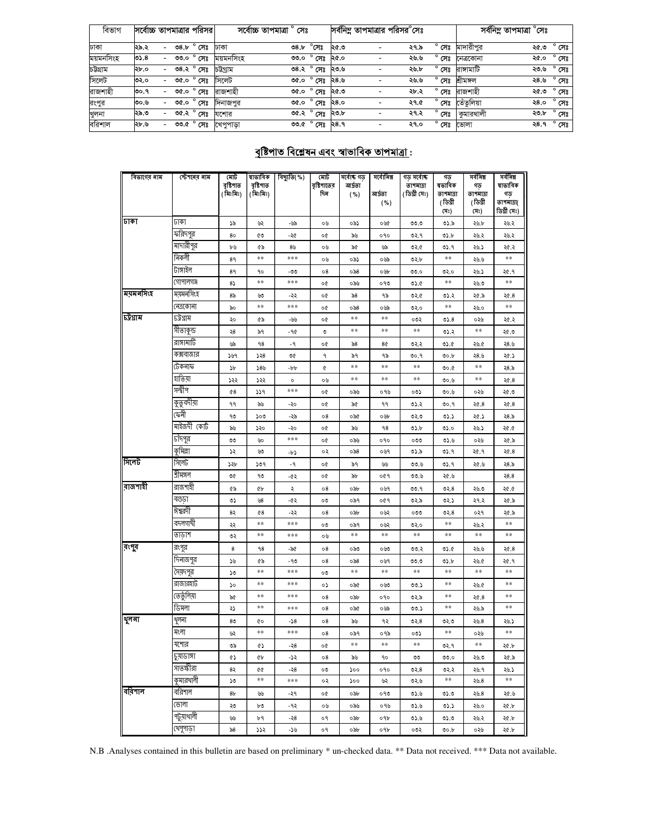| াবভাগ     |      |        |      | সর্বোচ্চ তাপমাত্রার পরিসর | সৰোচ্চ তাপমাত্ৰা     | সেঃ         |                                       |      | সর্বনিম্ন তাপমাত্রার পরিসর <sup>o</sup> সেঃ |                |            | সর্বনিম্ন তাপমাত্রা °সেঃ |                |
|-----------|------|--------|------|---------------------------|----------------------|-------------|---------------------------------------|------|---------------------------------------------|----------------|------------|--------------------------|----------------|
|           |      |        |      |                           |                      |             |                                       |      |                                             |                |            |                          |                |
| ঢাকা      | ২৯.২ | $\sim$ |      | ৩৪.৮ ° সেঃ                | ঢাকা                 | <b>08.b</b> | $^\circ$ সেঃ                          | ২৫.৩ | ২৭.৯                                        | $^{\circ}$ সেঃ | মাদারীপর   | ৩.১২                     | $^{\circ}$ সেঃ |
| ময়মনসিংহ | ৩১.৪ |        | ৩৩.০ | $^{\circ}$ সেঃ            | ময়মনসিংহ            |             | <u>ঞ্চত প</u> র                       | ২৫.০ | ২৬.৬                                        | $^{\circ}$ সেঃ | নেত্ৰকোনা  | ২৫.০                     | $^{\circ}$ সেঃ |
| চউগ্ৰাম   | ২৮.০ |        |      | ৩৪.২ ° সেঃ                | চউগ্ৰাম              |             | ৩৪.২ ° সেঃ                            | ২৩.৬ | ২৬.৮                                        | $^{\circ}$ সেঃ | রাঙ্গামাটি | ২৩.৬                     | $^{\circ}$ সেঃ |
| সিলেট     | ৩২.০ |        | ৩৫.০ | $^{\circ}$ সেঃ            | সিলেট                |             | <u>৩৫.০<math>^{\circ}</math> সেঃ</u>  | ২৪.৬ | ২৬.৬                                        | $^{\circ}$ সেঃ | শ্ৰীমঙ্গল  | ২৪.৬                     | $^{\circ}$ সেঃ |
| রাজশাহী   | ৩০.৭ | $\sim$ | ৩৫.০ | $^{\circ}$ সেঃ            | রাজশাহী              |             | ৩৫.০ ° সেঃ                            | ২৫.৩ | ২৮.২                                        | $^{\circ}$ সেঃ | রাজশাহী    | ৩.১২                     | $^{\circ}$ সেঃ |
| রংপুর     | ৩০.৬ |        | ৩৫.০ | $^{\circ}$ সেঃ            | দিনাজপর              |             | ৩৫.০ ° সেঃ                            | ২৪.০ | ২৭.৫                                        | $^{\circ}$ সেঃ | তেঁতলিয়া  | ২৪.০                     | $^{\circ}$ সেঃ |
| খুলনা     | ২৯.৩ |        |      | ৩৫.২ ° সেঃ                | যশোর                 |             | ৩৫.২ ° সেঃ                            | ২৩.৮ | ২৭.২                                        | $^{\circ}$ সেঃ | কুমারথালী  | ২৩.৮                     | $^{\circ}$ সেঃ |
| বরিশাল    | ২৮.৬ |        |      |                           | ৩৩.৫ ° সেঃ খেপুপাড়া |             | তত. $\mathfrak{e} \circ \mathfrak{e}$ | ২৪.৭ | ২৭.০                                        | $^{\circ}$ সেঃ | ভোলা       | ২৪.৭                     | $^{\circ}$ সেঃ |

## <u> বৃষ্টিপাত বিশ্লেষন এবং স্বাভাবিক তাপমাত্ৰা :</u>

| বিভাগের নাম | স্টেশনের নাম      | মোট<br>বৃষ্টিপাত | ষাভাবিক<br>বৃষ্টিপাত | বিছ্যুতি(%)  | মোট<br>বৃষ্টিশাতের | সৰ্বোষ্ক গড়<br>আৰ্দ্ৰতা | সর্বোনিম্ন        | গড় সৰ্বোষ্ক<br>তাপমাত্রা | গড<br>ষভাবিক        | সর্বনিম্ন<br>গড়   | সর্বনিম্ন<br>ষাভাবিক      |
|-------------|-------------------|------------------|----------------------|--------------|--------------------|--------------------------|-------------------|---------------------------|---------------------|--------------------|---------------------------|
|             |                   | (মিঃমিঃ)         | (মিঃমিঃ)             |              | দিন                | ( %)                     | আৰ্দ্ৰতা          | (ডিগ্ৰী সেঃ)              | তাপমাত্রা           | তাপমাত্রা          | গড়                       |
|             |                   |                  |                      |              |                    |                          | ( %)              |                           | (ডিগ্ৰী<br>(সঃ)     | (ডিগ্ৰী<br>সেঃ)    | তাপমাত্রা(<br>ডিগ্ৰী সেঃ) |
| ঢাকা        | जका               | ১৯               | W                    | -৬৯          | ০৬                 | ০৯১                      | ০৬৫               | 0.00                      | ৩১.৯                | ২৬.৮               | ২৬.২                      |
|             | ফরিদপুর           | 80               | ৫৩                   | -২৫          | o¢                 | ৯৬                       | ०१०               | ৩২.৭                      | ৩১.৮                | ২৬.২               | ২৬.২                      |
|             | মাদারীপুর         | ৮৬               | ৫৯                   | ৪৬           | ০৬                 | ৯৫                       | ৬৯                | ৩২.৫                      | ৩১.৭                | ২৬.১               | ২৫.২                      |
|             | নিকলী             | 89               | **                   | ***          | ০৬                 | ০৯১                      | ০৬৯               | ৩২.৮                      | $\ast\ast$          | ২৬.৬               | $\pm\pm$                  |
|             | টাঙ্গাইল          | 89               | 90                   | -৩৩          | 08                 | ০৯৪                      | ০৬৮               | 00.0                      | ৩২.০                | ২৬.১               | ২৫.৭                      |
|             | গোপালগঞ্জ         | $8\sqrt{ }$      | $* *$                | $***$        | o¢                 | ০৯৬                      | ০৭৩               | 05.6                      | $\ast\ast$          | ২৬.৩               | $\pm\pm$                  |
| ময়মনসিংহ   | ময়মনসিংহ         | 85               | ৬৩                   | -২২          | o¢                 | $\delta$ 8               | ৭৯                | ৩২.৫                      | ৩১.২                | ২৫.৯               | ২৫.৪                      |
|             | নেত্ৰকোনা         | ৯০               | $***$                | $***$        | o¢                 | ০৯৪                      | ০৬৯               | ৩২.০                      | $* *$               | ২৬.০               | $***$                     |
| চট্ৰগ্ৰাম   | ঢট্রগ্রাম         | ২০               | ৫৯                   | -৬৬          | o¢                 | $**$                     | **                | ০৩২                       | 05.8                | ০২৬                | ২৫.২                      |
|             | সীতাকুন্ড         | 58               | ৯৭                   | -90          | O                  | $**$                     | **                | $***$                     | ৩১.২                | $***$              | ২৫.৩                      |
|             | রাঙ্গামাটি        | yp               | 98                   | -9           | o¢                 | $\delta$ 8               | 8¢                | ७२.२                      | 0.6                 | ২৬.৫               | ২৪.৬                      |
|             | কক্সবাজার         | ১৬৭              | 358                  | ৩৫           | ٩                  | ৯৭                       | ۹۵                | 00.9                      | 00.b                | ২৪.৬               | ২৫.১                      |
|             | টেকনাফ            | ১৮               | 589                  | -pp          | ¢                  | **                       | $* *$             | **                        | 0.00                | **                 | ২৪.৯                      |
|             | হাতিয়া           | ১২২              | ১২২                  | $\circ$      | ০৬                 | **                       | $\pm\pm$          | **                        | ৩০.৬                | $***$              | ২৫.৪                      |
|             | সন্দ্বীপ          | 68               | ১১৭                  | ***          | o¢                 | ০৯৬                      | ०१७               | ০৩১                       | ৩০.৬                | ০২৬                | ২৫.৩                      |
|             | কুতুবদীয়া        | ۹۹               | ৯৬                   | -২০          | o¢                 | ৯৫                       | ۹۹                | ৩১.২                      | 00.9                | 20.8               | ২৫.৪                      |
|             | কেনী              | ٩७               | ১০৩                  | -59          | 08                 | ০৯৫                      | ০৬৮               | ৩২.৩                      | ৩১.১                | ২৫.১               | ২৪.৯                      |
|             | মাইজদী কোট        | ৯৬               | ১২০                  | -২০          | o¢                 | ৯৬                       | 98                | ৩১.৮                      | ৩১.০                | ২৬.১               | ১.৩۶                      |
|             | টাঁদপুর           | $\circ$          | ৬০                   | $***$        | o¢                 | ০৯৬                      | 090               | ೦೦೦                       | 0.6                 | ০২৬                | ২৫.৯                      |
|             | কুমিল্লা          | ১২               | ৬৩                   | -62          | ০২                 | ০৯৪                      | ০৬৭               | ৩১.৯                      | ७১.१                | ২৫.৭               | 26.8                      |
| সিলেট       | সিলেট             | ১২৮              | ১৩৭                  | -9           | o¢                 | ৯৭                       | ৬৬                | 00.6                      | ৩১.৭                | ২৫.৬               | ২8.৯                      |
|             | শ্ৰীমঙ্গল         | ৩৫               | ٩७                   | -65          | o¢                 | ৯৮                       | ०৫१               | 00.5                      | ২৫.৬                |                    | 28.8                      |
| রাজশাহী     | রাজশাহী           | GP               | ¢Ъ                   | ২            | 08                 | ০৯৮                      | ০৬৭               | 00.9                      | ৩২. $8$             | ২৬.৩               | ১.৩২                      |
|             | বগুডা             | ৩১               | 98                   | -62          | ০৩                 | ০৯৭                      | ०৫१               | ৩২.৯                      | ৩২.১                | ২৭.২               | ২৫.৯                      |
|             | ঈশ্বরদী           | 82               | 48                   | -২২          | 08                 | ০৯৮                      | ০৬২               | ೦೦೦                       | ৩২. $8$             | ०२१                | ২৫.৯                      |
|             | বদলগাঘী<br>তাডাশ  | ২২               | $* *$<br>$\pm\pm$    | ***<br>$***$ | ೲ                  | ০৯৭<br>$\ast\ast$        | ০৬২<br>$* *$      | ৩২.০<br>$* *$             | $\ast\ast$<br>$* *$ | ২৬.২<br>$\ast\ast$ | $\pm\pm$<br>$\ast\ast$    |
| রংপুব       |                   | ৩২               |                      |              | ০৬                 |                          |                   |                           |                     |                    |                           |
|             | রংপুর<br>দিনাজপুর | 8                | 98                   | -50          | 08                 | ০৯৩                      | ০৬৩               | ৩৩.২                      | 05.6                | ২৬.৬               | ২৫.৪                      |
|             | সৈয়দপুর          | ১৬               | ৫৯<br>$***$          | - 90<br>***  | 08                 | ০৯৪<br>$**$              | ০৬৭<br>$\ast\ast$ | 0.00<br>$\ast\ast$        | ৩১.৮<br>$* *$       | ২৬.৫<br>$\ast\ast$ | ২৫.৭<br>$***$             |
|             | রাজারহাট          | ১৩               | **                   | ***          | ০৩                 |                          |                   |                           | $**$                |                    | $\pm\pm$                  |
|             | তেতুঁলিয়া        | ১০<br>৯৫         | **                   | ***          | ०১<br>08           | ০৯৫<br>০৯৮               | ০৬৩<br>०१०        | ৩৩.১                      | $* *$               | ২৬.৫               | $***$                     |
|             | ডিমলা             | ২১               | **                   | ***          | 08                 | ০৯৫                      | ০৬৯               | ৩২.৯<br>৩৩.১              | **                  | 20.8<br>২৬.৯       | **                        |
| থুলনা       | থুলনা             | 80               | ¢о                   | -১৪          | 08                 | ৯৬                       | ৭২                | ৩২.৪                      | ७२.७                | ২৬.৪               | ২৬.১                      |
|             | মংলা              | W                | **                   | $***$        | 08                 | ০৯৭                      | ০৭৯               | ০৩১                       | $\ast\ast$          | ০২৬                | **                        |
|             | যশোর              | ৩৯               | Q)                   | -२४          | oœ                 | $***$                    | **                | **                        | ৩২.৭                | **                 | ২৫.৮                      |
|             | চুয়াডাঙ্গা       | ¢۵               | ¢Ъ                   | -১২          | о8                 | ৯৬                       | 90                | ৩৩                        | 00.0                | ২৬.৩               | ২৫.৯                      |
|             | সাতক্ষীরা         | 82               | ¢¢                   | -২8          | ೲ                  | ১০০                      | ०१०               | ৩২.৪                      | ७२.२                | ২৬.৭               | ২৬.১                      |
|             | কুমারথালী         | ১৩               | **                   | $***$        | ০২                 | ১০০                      | ৬২                | ৩২.৬                      | $* *$               | 20.8               | $***$                     |
| ববিশাল      | বরিশাল            | 8 <sub>b</sub>   | ৬৬                   | -২৭          | o¢                 | ০৯৮                      | ০৭৩               | 0.6                       | 0.20                | 20.8               | ২৫.৬                      |
|             | ভোলা              | ২৩               | ৮৩                   | - 92         | ০৬                 | ০৯৬                      | ০৭৬               | 0.6                       | 05.5                | ২৬.০               | ২৫.৮                      |
|             | পটুয়াথালী        | UУ               | ৮৭                   | -২8          | ०१                 | ০৯৮                      | ०१৮               | 0.6                       | 05.0                | ২৬.২               | ২৫.৮                      |
|             | খেপুপাড়া         | $\delta$ 8       | ১১২                  | -১৬          | ०१                 | ০৯৮                      | ०१৮               | ০৩২                       | ৩০.৮                | ০২৬                | ২৫.৮                      |

N.B .Analyses contained in this bulletin are based on preliminary \* un-checked data. \*\* Data not received. \*\*\* Data not available.